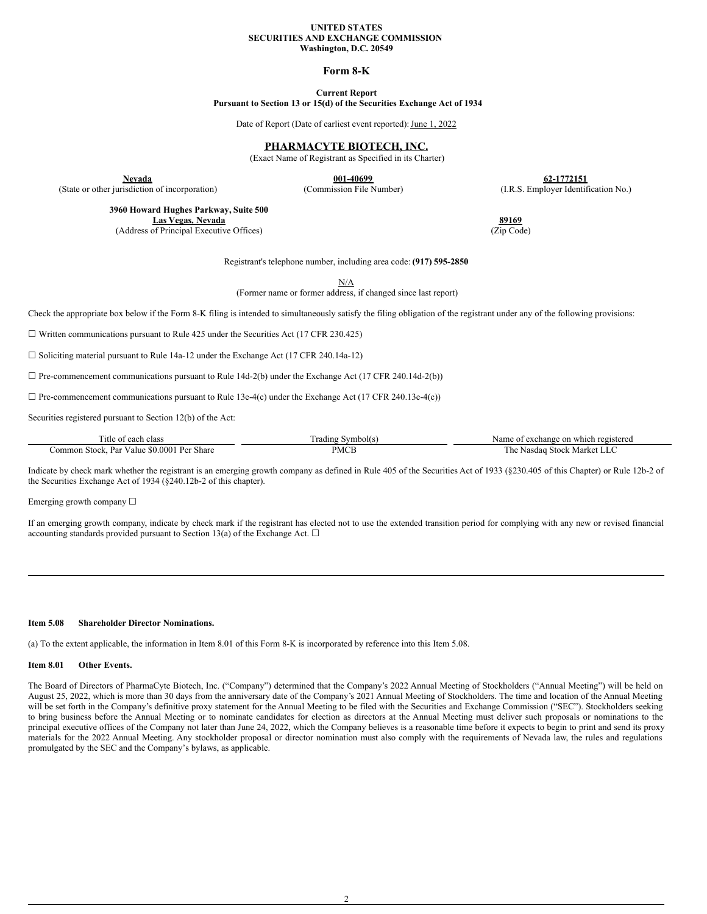#### **UNITED STATES SECURITIES AND EXCHANGE COMMISSION Washington, D.C. 20549**

### **Form 8-K**

# **Current Report**

**Pursuant to Section 13 or 15(d) of the Securities Exchange Act of 1934**

Date of Report (Date of earliest event reported): June 1, 2022

## **PHARMACYTE BIOTECH, INC.**

(Exact Name of Registrant as Specified in its Charter)

**Nevada 62-1772151**<br> **12-1772151**<br> **12-10699 62-1772151**<br> **12-10699 62-1772151**<br> **12-10699 62-1772151**<br> **13-10699 12-10699 12-1772151** 

**3960 Howard Hughes Parkway, Suite 500**

(State or other jurisdiction of incorporation)

**Las Vegas, Nevada 89169** (Address of Principal Executive Offices) (Zip Code)

Registrant's telephone number, including area code: **(917) 595-2850**

N/A

(Former name or former address, if changed since last report)

Check the appropriate box below if the Form 8-K filing is intended to simultaneously satisfy the filing obligation of the registrant under any of the following provisions:

☐ Written communications pursuant to Rule 425 under the Securities Act (17 CFR 230.425)

☐ Soliciting material pursuant to Rule 14a-12 under the Exchange Act (17 CFR 240.14a-12)

 $\Box$  Pre-commencement communications pursuant to Rule 14d-2(b) under the Exchange Act (17 CFR 240.14d-2(b))

 $\Box$  Pre-commencement communications pursuant to Rule 13e-4(c) under the Exchange Act (17 CFR 240.13e-4(c))

Securities registered pursuant to Section 12(b) of the Act:

| `itle<br>each<br>clas:                                                | ∵vmbol(s.<br>rading | ' registered<br>Name<br>. exchange<br>: on which |
|-----------------------------------------------------------------------|---------------------|--------------------------------------------------|
| \$0.0001<br>Dar<br>Share<br>レヘャ<br>.ommon<br>Stock.<br>v alue<br>- 51 | PMCL                | Stock<br>⊣Mark<br>1 he<br>Nasdag                 |

Indicate by check mark whether the registrant is an emerging growth company as defined in Rule 405 of the Securities Act of 1933 (§230.405 of this Chapter) or Rule 12b-2 of the Securities Exchange Act of 1934 (§240.12b-2 of this chapter).

Emerging growth company  $\Box$ 

If an emerging growth company, indicate by check mark if the registrant has elected not to use the extended transition period for complying with any new or revised financial accounting standards provided pursuant to Section 13(a) of the Exchange Act.  $\Box$ 

#### **Item 5.08 Shareholder Director Nominations.**

(a) To the extent applicable, the information in Item 8.01 of this Form 8-K is incorporated by reference into this Item 5.08.

#### **Item 8.01 Other Events.**

The Board of Directors of PharmaCyte Biotech, Inc. ("Company") determined that the Company's 2022 Annual Meeting of Stockholders ("Annual Meeting") will be held on August 25, 2022, which is more than 30 days from the anniversary date of the Company's 2021 Annual Meeting of Stockholders. The time and location of the Annual Meeting will be set forth in the Company's definitive proxy statement for the Annual Meeting to be filed with the Securities and Exchange Commission ("SEC"). Stockholders seeking to bring business before the Annual Meeting or to nominate candidates for election as directors at the Annual Meeting must deliver such proposals or nominations to the principal executive offices of the Company not later than June 24, 2022, which the Company believes is a reasonable time before it expects to begin to print and send its proxy materials for the 2022 Annual Meeting. Any stockholder proposal or director nomination must also comply with the requirements of Nevada law, the rules and regulations promulgated by the SEC and the Company's bylaws, as applicable.